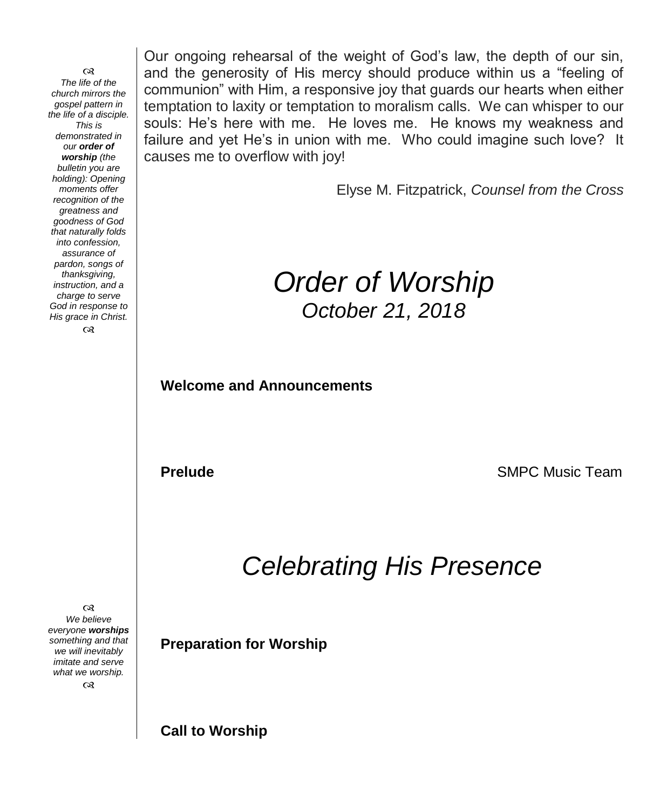೧೪ *The life of the church mirrors the gospel pattern in the life of a disciple. This is demonstrated in our order of worship (the bulletin you are holding): Opening moments offer recognition of the greatness and goodness of God that naturally folds into confession, assurance of pardon, songs of thanksgiving, instruction, and a charge to serve God in response to His grace in Christ.*  $\infty$ 

Our ongoing rehearsal of the weight of God's law, the depth of our sin, and the generosity of His mercy should produce within us a "feeling of communion" with Him, a responsive joy that guards our hearts when either temptation to laxity or temptation to moralism calls. We can whisper to our souls: He's here with me. He loves me. He knows my weakness and failure and yet He's in union with me. Who could imagine such love? It causes me to overflow with joy!

Elyse M. Fitzpatrick, *Counsel from the Cross*

## *Order of Worship October 21, 2018*

**Welcome and Announcements** 

**Prelude SMPC Music Team** 

*Celebrating His Presence*

 $\alpha$ *We believe everyone worships something and that we will inevitably imitate and serve what we worship.*  $\infty$ 

**Preparation for Worship**

**Call to Worship**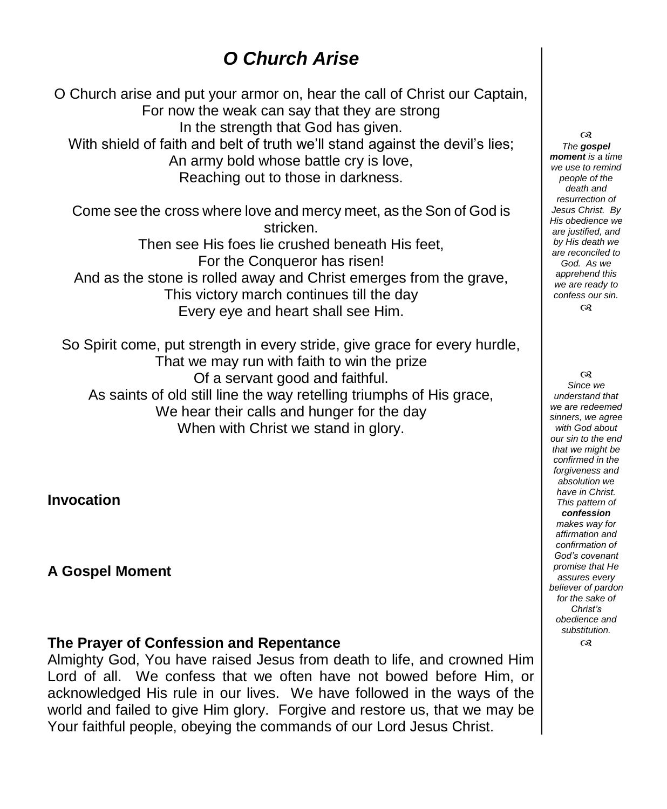## *O Church Arise*

O Church arise and put your armor on, hear the call of Christ our Captain, For now the weak can say that they are strong In the strength that God has given. With shield of faith and belt of truth we'll stand against the devil's lies; An army bold whose battle cry is love, Reaching out to those in darkness. Come see the cross where love and mercy meet, as the Son of God is stricken. Then see His foes lie crushed beneath His feet, For the Conqueror has risen! And as the stone is rolled away and Christ emerges from the grave, This victory march continues till the day Every eye and heart shall see Him. So Spirit come, put strength in every stride, give grace for every hurdle,

That we may run with faith to win the prize Of a servant good and faithful. As saints of old still line the way retelling triumphs of His grace, We hear their calls and hunger for the day When with Christ we stand in glory.

**Invocation**

**A Gospel Moment** 

#### **The Prayer of Confession and Repentance**

Almighty God, You have raised Jesus from death to life, and crowned Him Lord of all. We confess that we often have not bowed before Him, or acknowledged His rule in our lives. We have followed in the ways of the world and failed to give Him glory. Forgive and restore us, that we may be Your faithful people, obeying the commands of our Lord Jesus Christ.

 $\alpha$ *The gospel moment is a time we use to remind people of the death and resurrection of Jesus Christ. By His obedience we are justified, and by His death we are reconciled to God. As we apprehend this we are ready to confess our sin.*  $\Omega$ 

 $\infty$ *Since we understand that we are redeemed sinners, we agree with God about our sin to the end that we might be confirmed in the forgiveness and absolution we have in Christ. This pattern of confession makes way for affirmation and confirmation of God's covenant promise that He assures every believer of pardon for the sake of Christ's obedience and substitution.*  $\infty$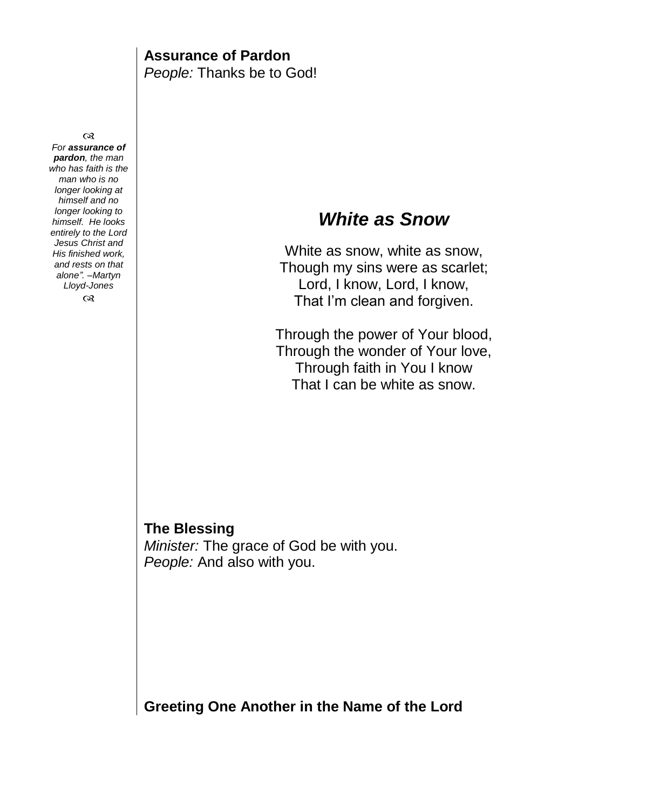#### **Assurance of Pardon** *People:* Thanks be to God!

 $\alpha$ *For assurance of pardon, the man who has faith is the man who is no longer looking at himself and no longer looking to himself. He looks entirely to the Lord Jesus Christ and His finished work, and rests on that alone". –Martyn Lloyd-Jones*  $\infty$ 

### *White as Snow*

White as snow, white as snow, Though my sins were as scarlet; Lord, I know, Lord, I know, That I'm clean and forgiven.

Through the power of Your blood, Through the wonder of Your love, Through faith in You I know That I can be white as snow.

**The Blessing**

*Minister:* The grace of God be with you. *People:* And also with you.

**Greeting One Another in the Name of the Lord**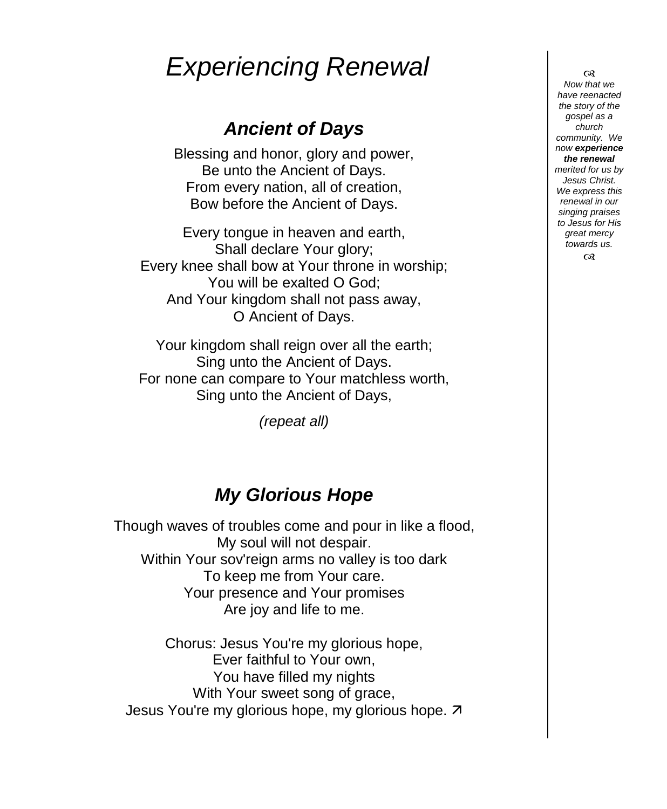## *Experiencing Renewal*

## *Ancient of Days*

Blessing and honor, glory and power, Be unto the Ancient of Days. From every nation, all of creation, Bow before the Ancient of Days.

Every tongue in heaven and earth, Shall declare Your glory; Every knee shall bow at Your throne in worship; You will be exalted O God; And Your kingdom shall not pass away, O Ancient of Days.

Your kingdom shall reign over all the earth; Sing unto the Ancient of Days. For none can compare to Your matchless worth, Sing unto the Ancient of Days,

*(repeat all)*

## *My Glorious Hope*

Though waves of troubles come and pour in like a flood, My soul will not despair. Within Your sov'reign arms no valley is too dark To keep me from Your care. Your presence and Your promises Are joy and life to me.

Chorus: Jesus You're my glorious hope, Ever faithful to Your own, You have filled my nights With Your sweet song of grace, Jesus You're my glorious hope, my glorious hope. 7

 $\Omega$ *Now that we have reenacted the story of the gospel as a church community. We now experience the renewal merited for us by Jesus Christ. We express this renewal in our singing praises to Jesus for His great mercy towards us.*  $\infty$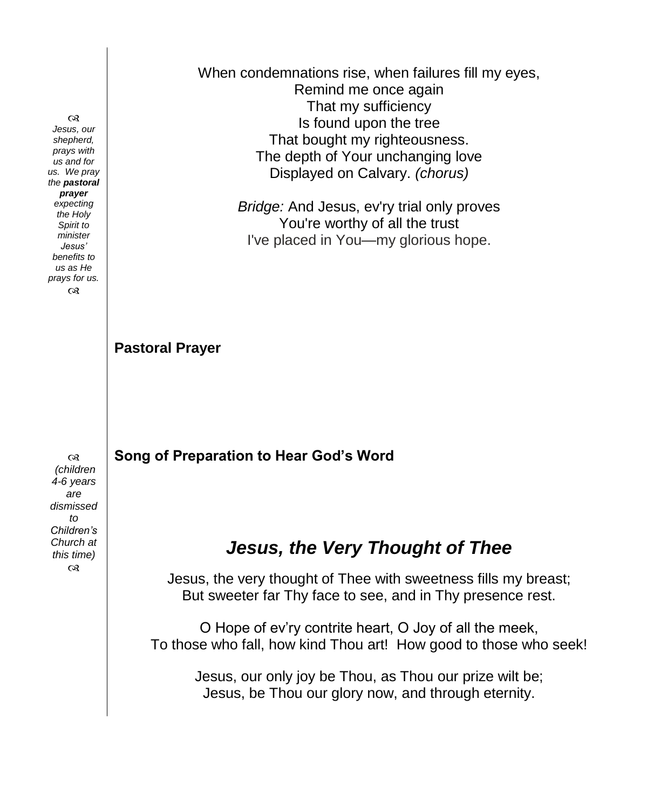| CB.<br>Jesus, our<br>shepherd,<br>prays with<br>us and for<br>us. We pray<br>the pastoral<br>prayer<br>expecting<br>the Holy<br>Spirit to<br>minister<br>Jesus'<br>benefits to<br>us as He<br>prays for us.<br>$\infty$ | When condemnations rise, when failures fill my eyes,<br>Remind me once again<br>That my sufficiency<br>Is found upon the tree<br>That bought my righteousness.<br>The depth of Your unchanging love<br>Displayed on Calvary. (chorus)<br>Bridge: And Jesus, ev'ry trial only proves<br>You're worthy of all the trust<br>I've placed in You-my glorious hope. |
|-------------------------------------------------------------------------------------------------------------------------------------------------------------------------------------------------------------------------|---------------------------------------------------------------------------------------------------------------------------------------------------------------------------------------------------------------------------------------------------------------------------------------------------------------------------------------------------------------|
|                                                                                                                                                                                                                         | <b>Pastoral Prayer</b>                                                                                                                                                                                                                                                                                                                                        |
| ෬<br>(children<br>4-6 years<br>are<br>dismissed<br>to<br>Children's<br>Church at<br>this time)<br>$\infty$                                                                                                              | Song of Preparation to Hear God's Word                                                                                                                                                                                                                                                                                                                        |
|                                                                                                                                                                                                                         | Jesus, the Very Thought of Thee                                                                                                                                                                                                                                                                                                                               |
|                                                                                                                                                                                                                         | Jesus, the very thought of Thee with sweetness fills my breast;<br>But sweeter far Thy face to see, and in Thy presence rest.                                                                                                                                                                                                                                 |
|                                                                                                                                                                                                                         | O Hope of ev'ry contrite heart, O Joy of all the meek,<br>To those who fall, how kind Thou art! How good to those who seek!                                                                                                                                                                                                                                   |
|                                                                                                                                                                                                                         | Jesus, our only joy be Thou, as Thou our prize wilt be;<br>Jesus, be Thou our glory now, and through eternity.                                                                                                                                                                                                                                                |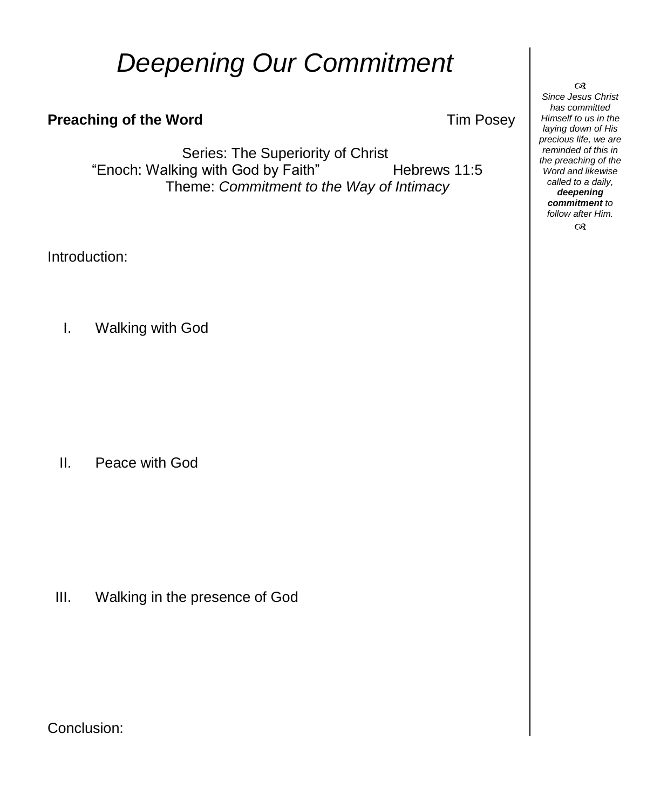# *Deepening Our Commitment*

#### **Preaching of the Word Tim Posey**

Series: The Superiority of Christ "Enoch: Walking with God by Faith" Hebrews 11:5 Theme: *Commitment to the Way of Intimacy*

Introduction:

I. Walking with God

II. Peace with God

III. Walking in the presence of God

Conclusion:

 $\infty$ *Since Jesus Christ has committed Himself to us in the laying down of His precious life, we are reminded of this in the preaching of the Word and likewise called to a daily, deepening commitment to follow after Him.*  $\infty$